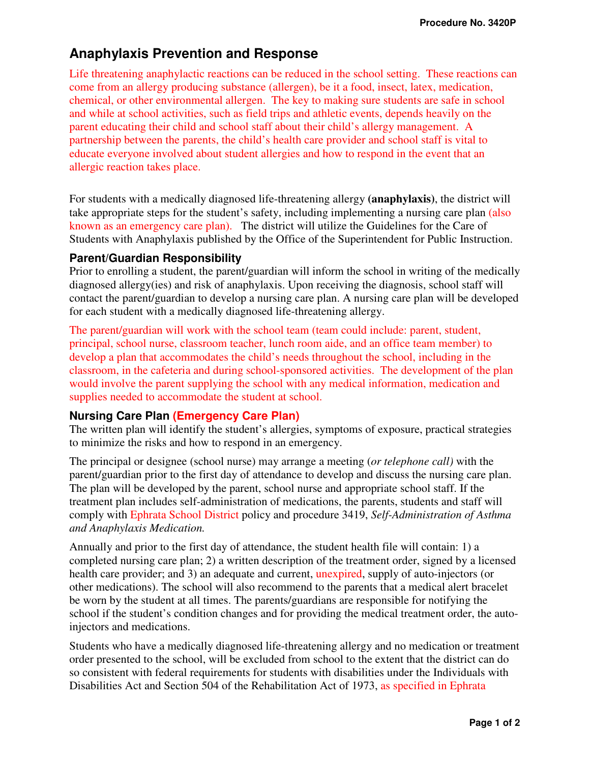# **Anaphylaxis Prevention and Response**

Life threatening anaphylactic reactions can be reduced in the school setting. These reactions can come from an allergy producing substance (allergen), be it a food, insect, latex, medication, chemical, or other environmental allergen. The key to making sure students are safe in school and while at school activities, such as field trips and athletic events, depends heavily on the parent educating their child and school staff about their child's allergy management. A partnership between the parents, the child's health care provider and school staff is vital to educate everyone involved about student allergies and how to respond in the event that an allergic reaction takes place.

For students with a medically diagnosed life-threatening allergy **(anaphylaxis)**, the district will take appropriate steps for the student's safety, including implementing a nursing care plan (also known as an emergency care plan). The district will utilize the Guidelines for the Care of Students with Anaphylaxis published by the Office of the Superintendent for Public Instruction.

## **Parent/Guardian Responsibility**

Prior to enrolling a student, the parent/guardian will inform the school in writing of the medically diagnosed allergy(ies) and risk of anaphylaxis. Upon receiving the diagnosis, school staff will contact the parent/guardian to develop a nursing care plan. A nursing care plan will be developed for each student with a medically diagnosed life-threatening allergy.

The parent/guardian will work with the school team (team could include: parent, student, principal, school nurse, classroom teacher, lunch room aide, and an office team member) to develop a plan that accommodates the child's needs throughout the school, including in the classroom, in the cafeteria and during school-sponsored activities. The development of the plan would involve the parent supplying the school with any medical information, medication and supplies needed to accommodate the student at school.

## **Nursing Care Plan (Emergency Care Plan)**

The written plan will identify the student's allergies, symptoms of exposure, practical strategies to minimize the risks and how to respond in an emergency.

The principal or designee (school nurse) may arrange a meeting (*or telephone call)* with the parent/guardian prior to the first day of attendance to develop and discuss the nursing care plan. The plan will be developed by the parent, school nurse and appropriate school staff. If the treatment plan includes self-administration of medications, the parents, students and staff will comply with Ephrata School District policy and procedure 3419, *Self-Administration of Asthma and Anaphylaxis Medication.*

Annually and prior to the first day of attendance, the student health file will contain: 1) a completed nursing care plan; 2) a written description of the treatment order, signed by a licensed health care provider; and 3) an adequate and current, unexpired, supply of auto-injectors (or other medications). The school will also recommend to the parents that a medical alert bracelet be worn by the student at all times. The parents/guardians are responsible for notifying the school if the student's condition changes and for providing the medical treatment order, the autoinjectors and medications.

Students who have a medically diagnosed life-threatening allergy and no medication or treatment order presented to the school, will be excluded from school to the extent that the district can do so consistent with federal requirements for students with disabilities under the Individuals with Disabilities Act and Section 504 of the Rehabilitation Act of 1973, as specified in Ephrata